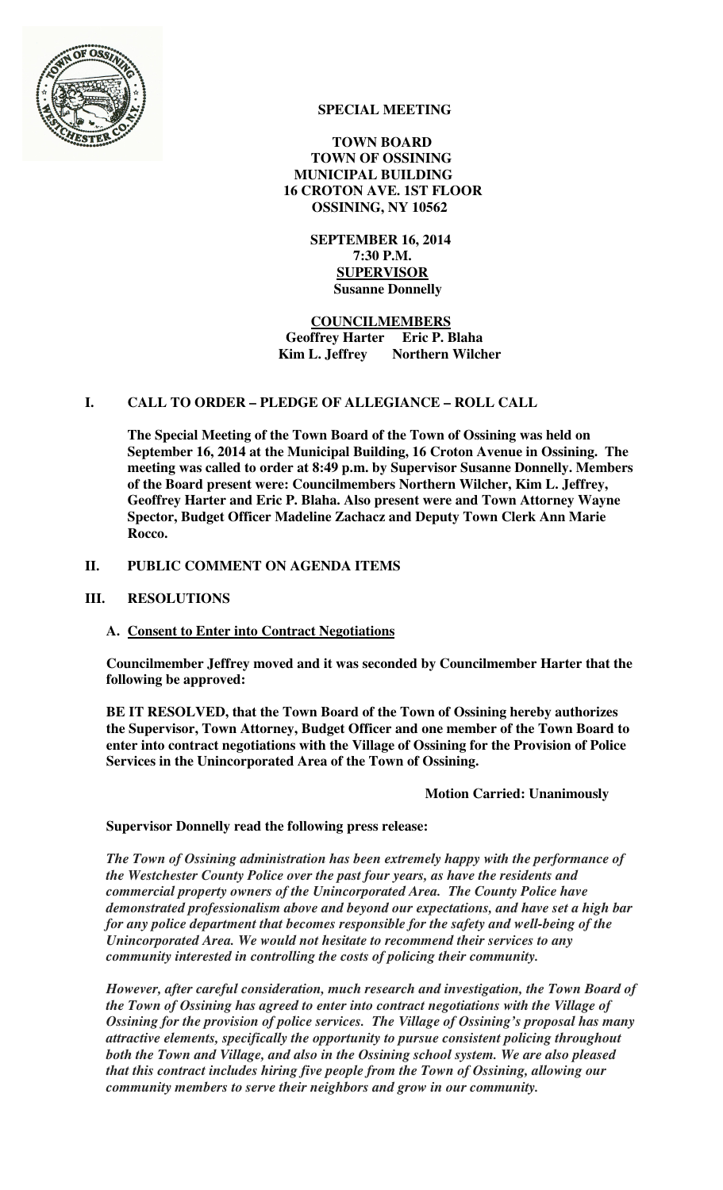

# **SPECIAL MEETING**

 **TOWN BOARD TOWN OF OSSINING MUNICIPAL BUILDING 16 CROTON AVE. 1ST FLOOR OSSINING, NY 10562** 

> **SEPTEMBER 16, 2014 7:30 P.M. SUPERVISOR Susanne Donnelly**

 **COUNCILMEMBERS Geoffrey Harter Eric P. Blaha Kim L. Jeffrey** Northern Wilcher

# **I. CALL TO ORDER – PLEDGE OF ALLEGIANCE – ROLL CALL**

**The Special Meeting of the Town Board of the Town of Ossining was held on September 16, 2014 at the Municipal Building, 16 Croton Avenue in Ossining. The meeting was called to order at 8:49 p.m. by Supervisor Susanne Donnelly. Members of the Board present were: Councilmembers Northern Wilcher, Kim L. Jeffrey, Geoffrey Harter and Eric P. Blaha. Also present were and Town Attorney Wayne Spector, Budget Officer Madeline Zachacz and Deputy Town Clerk Ann Marie Rocco.** 

## **II. PUBLIC COMMENT ON AGENDA ITEMS**

### **III. RESOLUTIONS**

### **A. Consent to Enter into Contract Negotiations**

**Councilmember Jeffrey moved and it was seconded by Councilmember Harter that the following be approved:** 

**BE IT RESOLVED, that the Town Board of the Town of Ossining hereby authorizes the Supervisor, Town Attorney, Budget Officer and one member of the Town Board to enter into contract negotiations with the Village of Ossining for the Provision of Police Services in the Unincorporated Area of the Town of Ossining.** 

### **Motion Carried: Unanimously**

### **Supervisor Donnelly read the following press release:**

*The Town of Ossining administration has been extremely happy with the performance of the Westchester County Police over the past four years, as have the residents and commercial property owners of the Unincorporated Area. The County Police have demonstrated professionalism above and beyond our expectations, and have set a high bar for any police department that becomes responsible for the safety and well-being of the Unincorporated Area. We would not hesitate to recommend their services to any community interested in controlling the costs of policing their community.* 

*However, after careful consideration, much research and investigation, the Town Board of the Town of Ossining has agreed to enter into contract negotiations with the Village of Ossining for the provision of police services. The Village of Ossining's proposal has many attractive elements, specifically the opportunity to pursue consistent policing throughout both the Town and Village, and also in the Ossining school system. We are also pleased that this contract includes hiring five people from the Town of Ossining, allowing our community members to serve their neighbors and grow in our community.*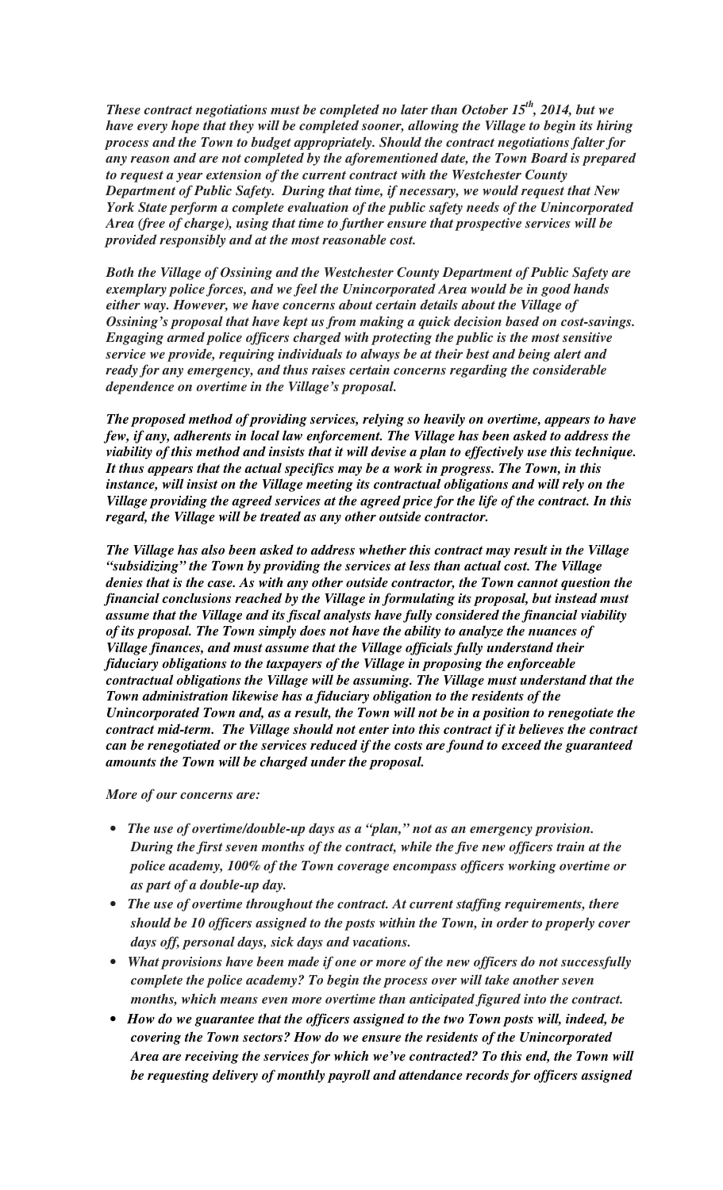*These contract negotiations must be completed no later than October 15th, 2014, but we have every hope that they will be completed sooner, allowing the Village to begin its hiring process and the Town to budget appropriately. Should the contract negotiations falter for any reason and are not completed by the aforementioned date, the Town Board is prepared to request a year extension of the current contract with the Westchester County Department of Public Safety. During that time, if necessary, we would request that New York State perform a complete evaluation of the public safety needs of the Unincorporated Area (free of charge), using that time to further ensure that prospective services will be provided responsibly and at the most reasonable cost.* 

*Both the Village of Ossining and the Westchester County Department of Public Safety are exemplary police forces, and we feel the Unincorporated Area would be in good hands either way. However, we have concerns about certain details about the Village of Ossining's proposal that have kept us from making a quick decision based on cost-savings. Engaging armed police officers charged with protecting the public is the most sensitive service we provide, requiring individuals to always be at their best and being alert and ready for any emergency, and thus raises certain concerns regarding the considerable dependence on overtime in the Village's proposal.* 

*The proposed method of providing services, relying so heavily on overtime, appears to have few, if any, adherents in local law enforcement. The Village has been asked to address the viability of this method and insists that it will devise a plan to effectively use this technique. It thus appears that the actual specifics may be a work in progress. The Town, in this instance, will insist on the Village meeting its contractual obligations and will rely on the Village providing the agreed services at the agreed price for the life of the contract. In this regard, the Village will be treated as any other outside contractor.* 

*The Village has also been asked to address whether this contract may result in the Village "subsidizing" the Town by providing the services at less than actual cost. The Village denies that is the case. As with any other outside contractor, the Town cannot question the financial conclusions reached by the Village in formulating its proposal, but instead must assume that the Village and its fiscal analysts have fully considered the financial viability of its proposal. The Town simply does not have the ability to analyze the nuances of Village finances, and must assume that the Village officials fully understand their fiduciary obligations to the taxpayers of the Village in proposing the enforceable contractual obligations the Village will be assuming. The Village must understand that the Town administration likewise has a fiduciary obligation to the residents of the Unincorporated Town and, as a result, the Town will not be in a position to renegotiate the contract mid-term. The Village should not enter into this contract if it believes the contract can be renegotiated or the services reduced if the costs are found to exceed the guaranteed amounts the Town will be charged under the proposal.* 

*More of our concerns are:*

- *The use of overtime/double-up days as a "plan," not as an emergency provision. During the first seven months of the contract, while the five new officers train at the police academy, 100% of the Town coverage encompass officers working overtime or as part of a double-up day.*
- *The use of overtime throughout the contract. At current staffing requirements, there should be 10 officers assigned to the posts within the Town, in order to properly cover days off, personal days, sick days and vacations.*
- *What provisions have been made if one or more of the new officers do not successfully complete the police academy? To begin the process over will take another seven months, which means even more overtime than anticipated figured into the contract.*
- *How do we guarantee that the officers assigned to the two Town posts will, indeed, be covering the Town sectors? How do we ensure the residents of the Unincorporated Area are receiving the services for which we've contracted? To this end, the Town will be requesting delivery of monthly payroll and attendance records for officers assigned*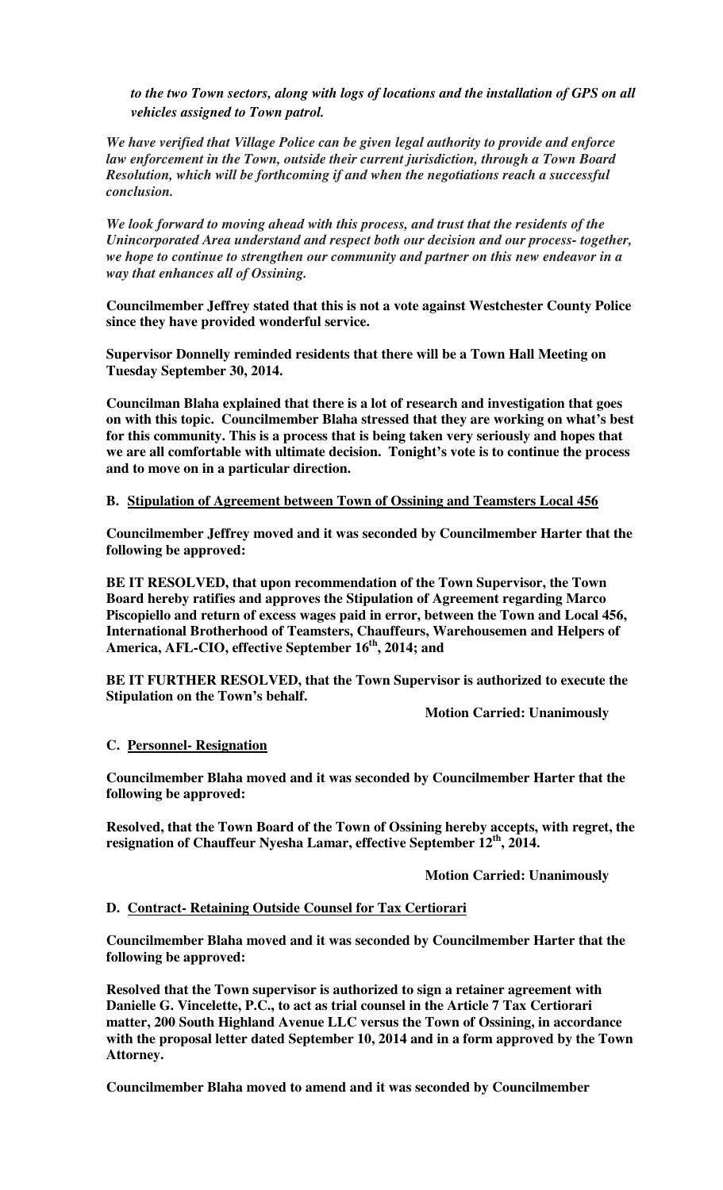*to the two Town sectors, along with logs of locations and the installation of GPS on all vehicles assigned to Town patrol.* 

*We have verified that Village Police can be given legal authority to provide and enforce law enforcement in the Town, outside their current jurisdiction, through a Town Board Resolution, which will be forthcoming if and when the negotiations reach a successful conclusion.* 

*We look forward to moving ahead with this process, and trust that the residents of the Unincorporated Area understand and respect both our decision and our process- together, we hope to continue to strengthen our community and partner on this new endeavor in a way that enhances all of Ossining.*

**Councilmember Jeffrey stated that this is not a vote against Westchester County Police since they have provided wonderful service.** 

**Supervisor Donnelly reminded residents that there will be a Town Hall Meeting on Tuesday September 30, 2014.** 

**Councilman Blaha explained that there is a lot of research and investigation that goes on with this topic. Councilmember Blaha stressed that they are working on what's best for this community. This is a process that is being taken very seriously and hopes that we are all comfortable with ultimate decision. Tonight's vote is to continue the process and to move on in a particular direction.** 

#### **B. Stipulation of Agreement between Town of Ossining and Teamsters Local 456**

**Councilmember Jeffrey moved and it was seconded by Councilmember Harter that the following be approved:** 

**BE IT RESOLVED, that upon recommendation of the Town Supervisor, the Town Board hereby ratifies and approves the Stipulation of Agreement regarding Marco Piscopiello and return of excess wages paid in error, between the Town and Local 456, International Brotherhood of Teamsters, Chauffeurs, Warehousemen and Helpers of America, AFL-CIO, effective September 16th, 2014; and** 

**BE IT FURTHER RESOLVED, that the Town Supervisor is authorized to execute the Stipulation on the Town's behalf.** 

 **Motion Carried: Unanimously** 

#### **C. Personnel- Resignation**

**Councilmember Blaha moved and it was seconded by Councilmember Harter that the following be approved:** 

**Resolved, that the Town Board of the Town of Ossining hereby accepts, with regret, the resignation of Chauffeur Nyesha Lamar, effective September 12th, 2014.** 

 **Motion Carried: Unanimously** 

#### **D. Contract- Retaining Outside Counsel for Tax Certiorari**

**Councilmember Blaha moved and it was seconded by Councilmember Harter that the following be approved:** 

**Resolved that the Town supervisor is authorized to sign a retainer agreement with Danielle G. Vincelette, P.C., to act as trial counsel in the Article 7 Tax Certiorari matter, 200 South Highland Avenue LLC versus the Town of Ossining, in accordance with the proposal letter dated September 10, 2014 and in a form approved by the Town Attorney.** 

**Councilmember Blaha moved to amend and it was seconded by Councilmember**